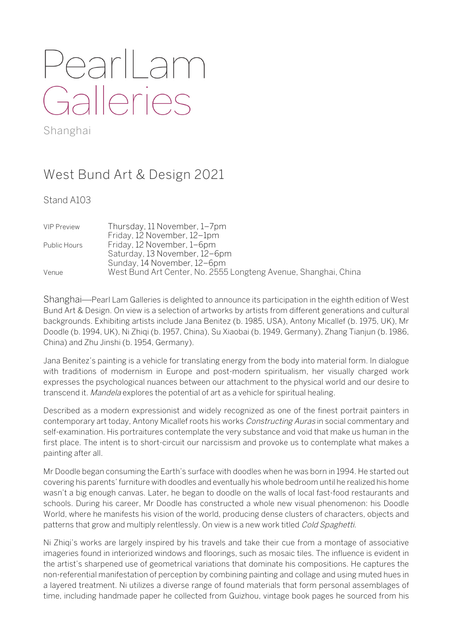## PearlLam Galleries

Shanghai

## West Bund Art & Design 2021

Stand A103

| <b>VIP Preview</b> | Thursday, 11 November, 1–7pm                                    |
|--------------------|-----------------------------------------------------------------|
|                    | Friday, 12 November, 12-1pm                                     |
| Public Hours       | Friday, 12 November, 1–6pm                                      |
|                    | Saturday, 13 November, 12-6pm                                   |
|                    | Sunday, 14 November, 12-6pm                                     |
| Venue              | West Bund Art Center, No. 2555 Longteng Avenue, Shanghai, China |

Shanghai—Pearl Lam Galleries is delighted to announce its participation in the eighth edition of West Bund Art & Design. On view is a selection of artworks by artists from different generations and cultural backgrounds. Exhibiting artists include Jana Benitez (b. 1985, USA), Antony Micallef (b. 1975, UK), Mr Doodle (b. 1994, UK), Ni Zhiqi (b. 1957, China), Su Xiaobai (b. 1949, Germany), Zhang Tianjun (b. 1986, China) and Zhu Jinshi (b. 1954, Germany).

Jana Benitez's painting is a vehicle for translating energy from the body into material form. In dialogue with traditions of modernism in Europe and post-modern spiritualism, her visually charged work expresses the psychological nuances between our attachment to the physical world and our desire to transcend it. Mandela explores the potential of art as a vehicle for spiritual healing.

Described as a modern expressionist and widely recognized as one of the finest portrait painters in contemporary art today, Antony Micallef roots his works *Constructing Auras* in social commentary and self-examination. His portraitures contemplate the very substance and void that make us human in the first place. The intent is to short-circuit our narcissism and provoke us to contemplate what makes a painting after all.

Mr Doodle began consuming the Earth's surface with doodles when he was born in 1994. He started out covering his parents' furniture with doodles and eventually his whole bedroom until he realized his home wasn't a big enough canvas. Later, he began to doodle on the walls of local fast-food restaurants and schools. During his career, Mr Doodle has constructed a whole new visual phenomenon: his Doodle World, where he manifests his vision of the world, producing dense clusters of characters, objects and patterns that grow and multiply relentlessly. On view is a new work titled Cold Spaghetti.

Ni Zhiqi's works are largely inspired by his travels and take their cue from a montage of associative imageries found in interiorized windows and floorings, such as mosaic tiles. The influence is evident in the artist's sharpened use of geometrical variations that dominate his compositions. He captures the non-referential manifestation of perception by combining painting and collage and using muted hues in a layered treatment. Ni utilizes a diverse range of found materials that form personal assemblages of time, including handmade paper he collected from Guizhou, vintage book pages he sourced from his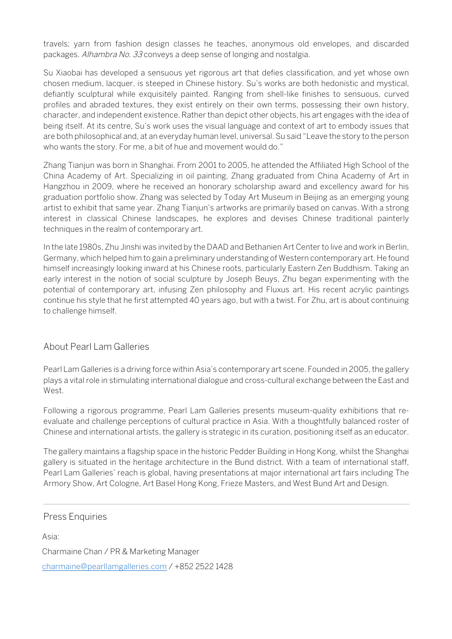travels; yarn from fashion design classes he teaches, anonymous old envelopes, and discarded packages. Alhambra No. 33 conveys a deep sense of longing and nostalgia.

Su Xiaobai has developed a sensuous yet rigorous art that defies classification, and yet whose own chosen medium, lacquer, is steeped in Chinese history. Su's works are both hedonistic and mystical, defiantly sculptural while exquisitely painted. Ranging from shell-like finishes to sensuous, curved profiles and abraded textures, they exist entirely on their own terms, possessing their own history, character, and independent existence. Rather than depict other objects, his art engages with the idea of being itself. At its centre, Su's work uses the visual language and context of art to embody issues that are both philosophical and, at an everyday human level, universal. Su said "Leave the story to the person who wants the story. For me, a bit of hue and movement would do."

Zhang Tianjun was born in Shanghai. From 2001 to 2005, he attended the Affiliated High School of the China Academy of Art. Specializing in oil painting, Zhang graduated from China Academy of Art in Hangzhou in 2009, where he received an honorary scholarship award and excellency award for his graduation portfolio show. Zhang was selected by Today Art Museum in Beijing as an emerging young artist to exhibit that same year. Zhang Tianjun's artworks are primarily based on canvas. With a strong interest in classical Chinese landscapes, he explores and devises Chinese traditional painterly techniques in the realm of contemporary art.

In the late 1980s, Zhu Jinshi was invited by the DAAD and Bethanien Art Center to live and work in Berlin, Germany, which helped him to gain a preliminary understanding of Western contemporary art. He found himself increasingly looking inward at his Chinese roots, particularly Eastern Zen Buddhism. Taking an early interest in the notion of social sculpture by Joseph Beuys, Zhu began experimenting with the potential of contemporary art, infusing Zen philosophy and Fluxus art. His recent acrylic paintings continue his style that he first attempted 40 years ago, but with a twist. For Zhu, art is about continuing to challenge himself.

## About Pearl Lam Galleries

Pearl Lam Galleries is a driving force within Asia's contemporary art scene. Founded in 2005, the gallery plays a vital role in stimulating international dialogue and cross-cultural exchange between the East and West.

Following a rigorous programme, Pearl Lam Galleries presents museum-quality exhibitions that reevaluate and challenge perceptions of cultural practice in Asia. With a thoughtfully balanced roster of Chinese and international artists, the gallery is strategic in its curation, positioning itself as an educator.

The gallery maintains a flagship space in the historic Pedder Building in Hong Kong, whilst the Shanghai gallery is situated in the heritage architecture in the Bund district. With a team of international staff, Pearl Lam Galleries' reach is global, having presentations at major international art fairs including The Armory Show, Art Cologne, Art Basel Hong Kong, Frieze Masters, and West Bund Art and Design.

## Press Enquiries

Asia:

Charmaine Chan / PR & Marketing Manager

charmaine@pearllamgalleries.com / +852 2522 1428